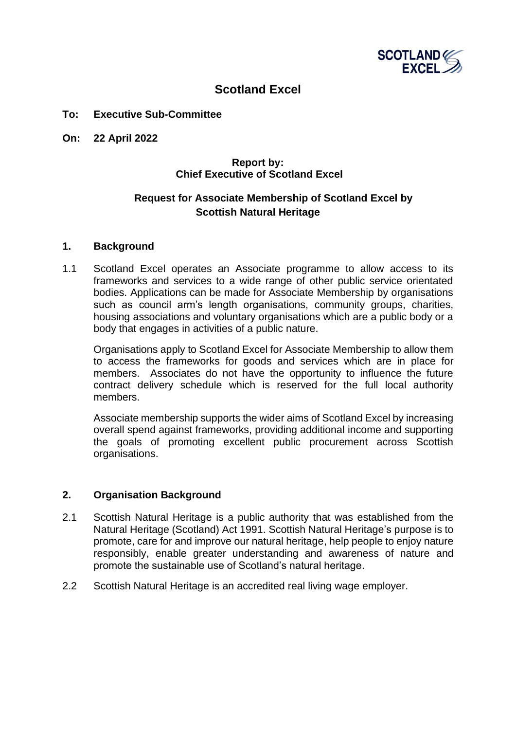

# **Scotland Excel**

#### **To: Executive Sub-Committee**

**On: 22 April 2022**

## **Report by: Chief Executive of Scotland Excel**

## **Request for Associate Membership of Scotland Excel by Scottish Natural Heritage**

#### **1. Background**

1.1 Scotland Excel operates an Associate programme to allow access to its frameworks and services to a wide range of other public service orientated bodies. Applications can be made for Associate Membership by organisations such as council arm's length organisations, community groups, charities, housing associations and voluntary organisations which are a public body or a body that engages in activities of a public nature.

Organisations apply to Scotland Excel for Associate Membership to allow them to access the frameworks for goods and services which are in place for members. Associates do not have the opportunity to influence the future contract delivery schedule which is reserved for the full local authority members.

Associate membership supports the wider aims of Scotland Excel by increasing overall spend against frameworks, providing additional income and supporting the goals of promoting excellent public procurement across Scottish organisations.

#### **2. Organisation Background**

- 2.1 Scottish Natural Heritage is a public authority that was established from the Natural Heritage (Scotland) Act 1991. Scottish Natural Heritage's purpose is to promote, care for and improve our natural heritage, help people to enjoy nature responsibly, enable greater understanding and awareness of nature and promote the sustainable use of Scotland's natural heritage.
- 2.2 Scottish Natural Heritage is an accredited real living wage employer.